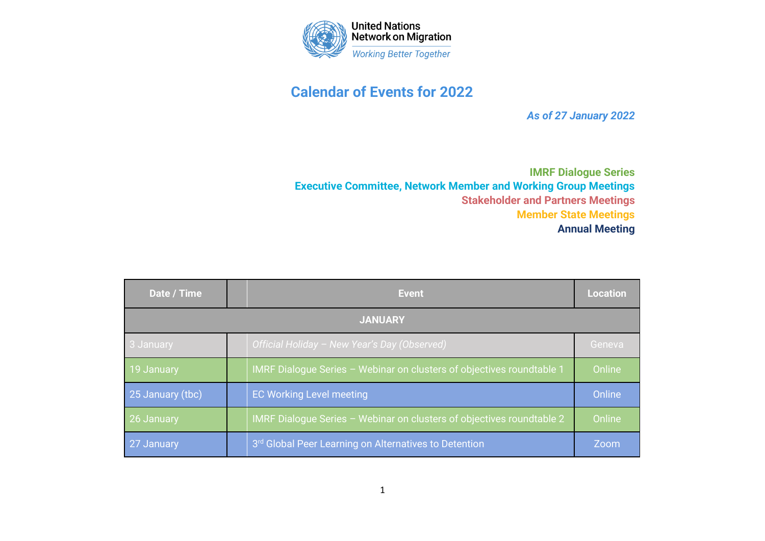

## **Calendar of Events for 2022**

*As of 27 January 2022*

**IMRF Dialogue Series Executive Committee, Network Member and Working Group Meetings Stakeholder and Partners Meetings Member State Meetings Annual Meeting**

| Date / Time      |  | <b>Event</b>                                                          | <b>Location</b> |
|------------------|--|-----------------------------------------------------------------------|-----------------|
| <b>JANUARY</b>   |  |                                                                       |                 |
| 3 January        |  | Official Holiday - New Year's Day (Observed)                          | Geneva          |
| 19 January       |  | IMRF Dialogue Series - Webinar on clusters of objectives roundtable 1 | Online          |
| 25 January (tbc) |  | <b>EC Working Level meeting</b>                                       | Online          |
| 26 January       |  | IMRF Dialogue Series - Webinar on clusters of objectives roundtable 2 | Online          |
| 27 January       |  | 3rd Global Peer Learning on Alternatives to Detention                 | Zoom            |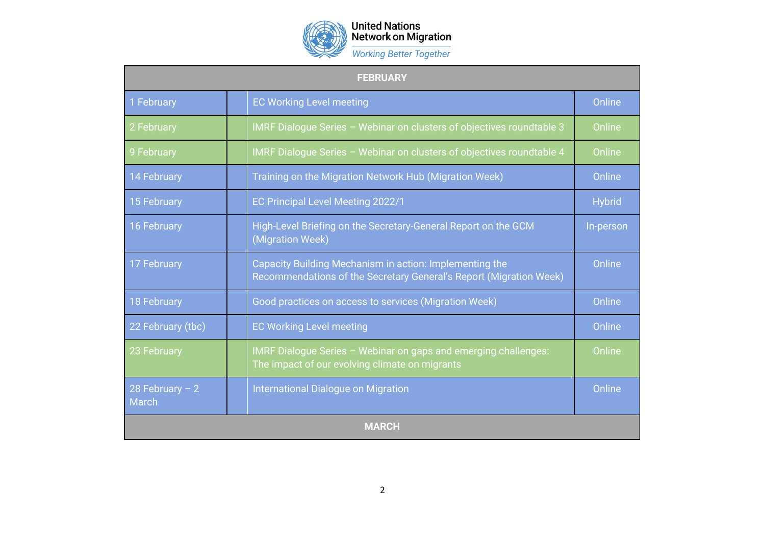

## United Nations<br>Network on Migration

**Working Better Together** 

| <b>FEBRUARY</b>                  |  |                                                                                                                               |               |
|----------------------------------|--|-------------------------------------------------------------------------------------------------------------------------------|---------------|
| 1 February                       |  | <b>EC Working Level meeting</b>                                                                                               | Online        |
| 2 February                       |  | IMRF Dialogue Series - Webinar on clusters of objectives roundtable 3                                                         | Online        |
| 9 February                       |  | IMRF Dialogue Series - Webinar on clusters of objectives roundtable 4                                                         | Online        |
| <b>14 February</b>               |  | Training on the Migration Network Hub (Migration Week)                                                                        | Online        |
| 15 February                      |  | EC Principal Level Meeting 2022/1                                                                                             | <b>Hybrid</b> |
| 16 February                      |  | High-Level Briefing on the Secretary-General Report on the GCM<br>(Migration Week)                                            | In-person     |
| 17 February                      |  | Capacity Building Mechanism in action: Implementing the<br>Recommendations of the Secretary General's Report (Migration Week) | Online        |
| <b>18 February</b>               |  | Good practices on access to services (Migration Week)                                                                         | Online        |
| 22 February (tbc)                |  | <b>EC Working Level meeting</b>                                                                                               | Online        |
| 23 February                      |  | IMRF Dialogue Series - Webinar on gaps and emerging challenges:<br>The impact of our evolving climate on migrants             | Online        |
| 28 February $-2$<br><b>March</b> |  | International Dialogue on Migration                                                                                           | Online        |
| <b>MARCH</b>                     |  |                                                                                                                               |               |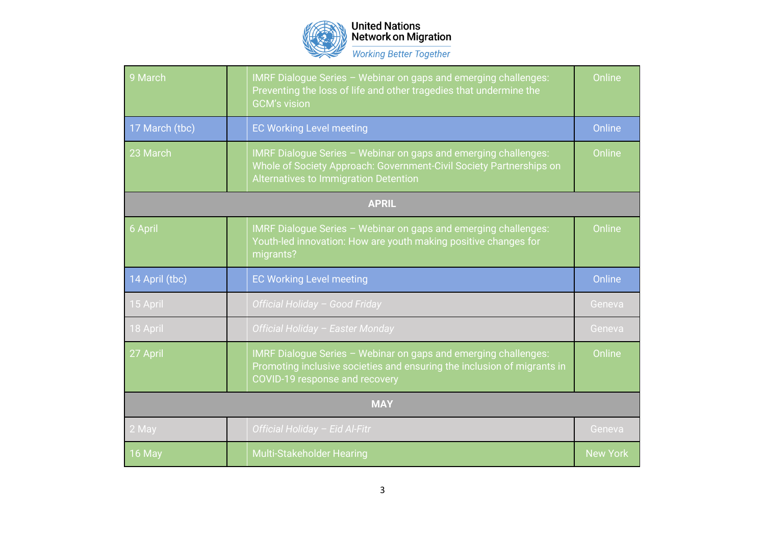

## United Nations<br>Network on Migration

**Working Better Together** 

| 9 March        |  | IMRF Dialogue Series - Webinar on gaps and emerging challenges:<br>Preventing the loss of life and other tragedies that undermine the<br><b>GCM's vision</b>                    | Online |
|----------------|--|---------------------------------------------------------------------------------------------------------------------------------------------------------------------------------|--------|
| 17 March (tbc) |  | <b>EC Working Level meeting</b>                                                                                                                                                 | Online |
| 23 March       |  | IMRF Dialogue Series - Webinar on gaps and emerging challenges:<br>Whole of Society Approach: Government-Civil Society Partnerships on<br>Alternatives to Immigration Detention | Online |
| <b>APRIL</b>   |  |                                                                                                                                                                                 |        |
| 6 April        |  | IMRF Dialogue Series - Webinar on gaps and emerging challenges:<br>Youth-led innovation: How are youth making positive changes for<br>migrants?                                 | Online |
|                |  |                                                                                                                                                                                 |        |
| 14 April (tbc) |  | <b>EC Working Level meeting</b>                                                                                                                                                 | Online |
| 15 April       |  | Official Holiday - Good Friday                                                                                                                                                  | Geneva |
| 18 April       |  | Official Holiday - Easter Monday                                                                                                                                                | Geneva |
| 27 April       |  | IMRF Dialogue Series - Webinar on gaps and emerging challenges:<br>Promoting inclusive societies and ensuring the inclusion of migrants in<br>COVID-19 response and recovery    | Online |
|                |  | <b>MAY</b>                                                                                                                                                                      |        |
| 2 May          |  | Official Holiday - Eid Al-Fitr                                                                                                                                                  | Geneva |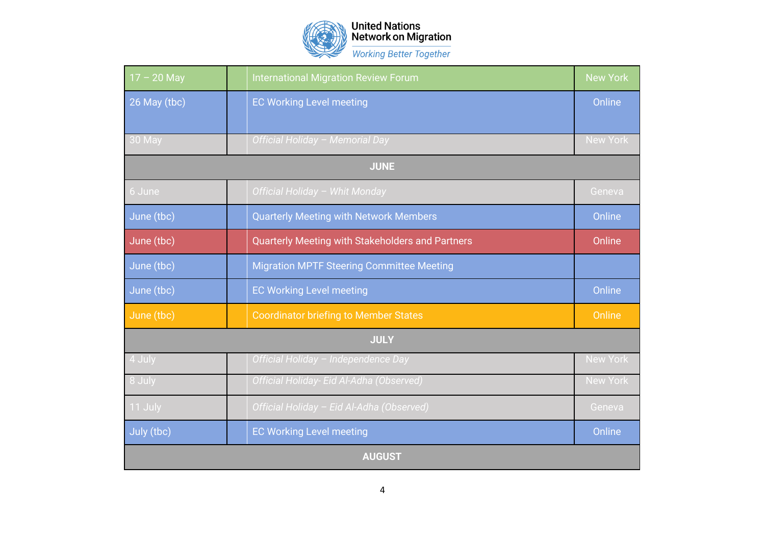

United Nations<br>Network on Migration **Working Better Together** 

| $17 - 20$ May | <b>International Migration Review Forum</b>      | <b>New York</b> |  |
|---------------|--------------------------------------------------|-----------------|--|
| 26 May (tbc)  | <b>EC Working Level meeting</b>                  | Online          |  |
|               |                                                  |                 |  |
| 30 May        | Official Holiday - Memorial Day                  | <b>New York</b> |  |
| <b>JUNE</b>   |                                                  |                 |  |
| 6 June        | Official Holiday - Whit Monday                   | Geneva          |  |
| June (tbc)    | <b>Quarterly Meeting with Network Members</b>    | Online          |  |
| June (tbc)    | Quarterly Meeting with Stakeholders and Partners | Online          |  |
| June (tbc)    | <b>Migration MPTF Steering Committee Meeting</b> |                 |  |
| June (tbc)    | <b>EC Working Level meeting</b>                  | Online          |  |
| June (tbc)    | <b>Coordinator briefing to Member States</b>     | Online          |  |
| <b>JULY</b>   |                                                  |                 |  |
| 4 July        | Official Holiday - Independence Day              | <b>New York</b> |  |
| 8 July        | Official Holiday- Eid Al-Adha (Observed)         | <b>New York</b> |  |
| 11 July       | Official Holiday - Eid Al-Adha (Observed)        | Geneva          |  |
| July (tbc)    | <b>EC Working Level meeting</b>                  | Online          |  |
| <b>AUGUST</b> |                                                  |                 |  |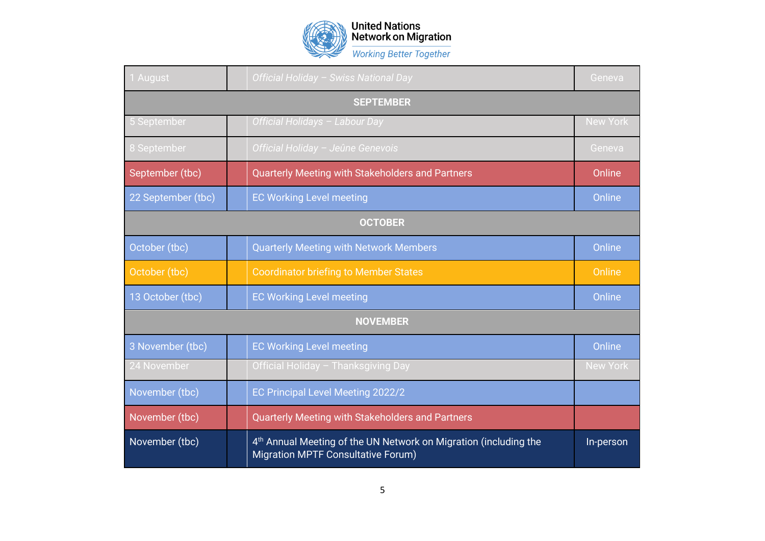

United Nations<br>Network on Migration **Working Better Together** 

| 1 August           | Official Holiday - Swiss National Day                                                                              | Geneva          |  |
|--------------------|--------------------------------------------------------------------------------------------------------------------|-----------------|--|
| <b>SEPTEMBER</b>   |                                                                                                                    |                 |  |
| 5 September        | Official Holidays - Labour Day                                                                                     | <b>New York</b> |  |
| 8 September        | Official Holiday - Jeûne Genevois                                                                                  | Geneva          |  |
| September (tbc)    | Quarterly Meeting with Stakeholders and Partners                                                                   | Online          |  |
| 22 September (tbc) | <b>EC Working Level meeting</b>                                                                                    | Online          |  |
| <b>OCTOBER</b>     |                                                                                                                    |                 |  |
| October (tbc)      | <b>Quarterly Meeting with Network Members</b>                                                                      | Online          |  |
| October (tbc)      | <b>Coordinator briefing to Member States</b>                                                                       | Online          |  |
| 13 October (tbc)   | <b>EC Working Level meeting</b>                                                                                    | Online          |  |
| <b>NOVEMBER</b>    |                                                                                                                    |                 |  |
| 3 November (tbc)   | <b>EC Working Level meeting</b>                                                                                    | Online          |  |
| 24 November        | Official Holiday - Thanksgiving Day                                                                                | <b>New York</b> |  |
| November (tbc)     | EC Principal Level Meeting 2022/2                                                                                  |                 |  |
| November (tbc)     | Quarterly Meeting with Stakeholders and Partners                                                                   |                 |  |
| November (tbc)     | 4 <sup>th</sup> Annual Meeting of the UN Network on Migration (including the<br>Migration MPTF Consultative Forum) | In-person       |  |